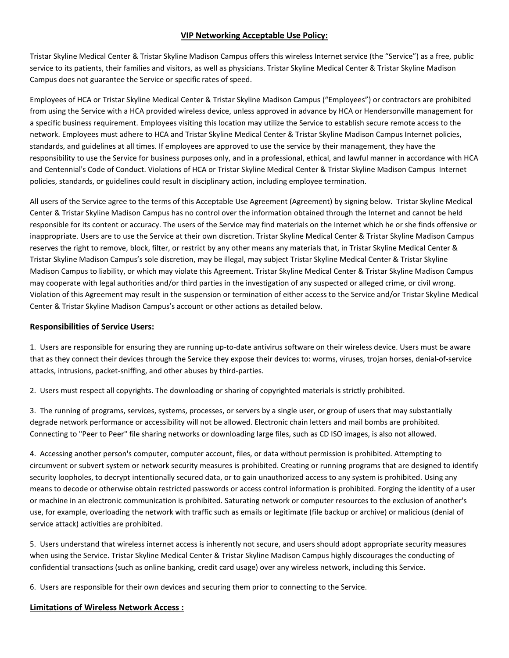## **VIP Networking Acceptable Use Policy:**

Tristar Skyline Medical Center & Tristar Skyline Madison Campus offers this wireless Internet service (the "Service") as a free, public service to its patients, their families and visitors, as well as physicians. Tristar Skyline Medical Center & Tristar Skyline Madison Campus does not guarantee the Service or specific rates of speed.

Employees of HCA or Tristar Skyline Medical Center & Tristar Skyline Madison Campus ("Employees") or contractors are prohibited from using the Service with a HCA provided wireless device, unless approved in advance by HCA or Hendersonville management for a specific business requirement. Employees visiting this location may utilize the Service to establish secure remote access to the network. Employees must adhere to HCA and Tristar Skyline Medical Center & Tristar Skyline Madison Campus Internet policies, standards, and guidelines at all times. If employees are approved to use the service by their management, they have the responsibility to use the Service for business purposes only, and in a professional, ethical, and lawful manner in accordance with HCA and Centennial's Code of Conduct. Violations of HCA or Tristar Skyline Medical Center & Tristar Skyline Madison Campus Internet policies, standards, or guidelines could result in disciplinary action, including employee termination.

All users of the Service agree to the terms of this Acceptable Use Agreement (Agreement) by signing below. Tristar Skyline Medical Center & Tristar Skyline Madison Campus has no control over the information obtained through the Internet and cannot be held responsible for its content or accuracy. The users of the Service may find materials on the Internet which he or she finds offensive or inappropriate. Users are to use the Service at their own discretion. Tristar Skyline Medical Center & Tristar Skyline Madison Campus reserves the right to remove, block, filter, or restrict by any other means any materials that, in Tristar Skyline Medical Center & Tristar Skyline Madison Campus's sole discretion, may be illegal, may subject Tristar Skyline Medical Center & Tristar Skyline Madison Campus to liability, or which may violate this Agreement. Tristar Skyline Medical Center & Tristar Skyline Madison Campus may cooperate with legal authorities and/or third parties in the investigation of any suspected or alleged crime, or civil wrong. Violation of this Agreement may result in the suspension or termination of either access to the Service and/or Tristar Skyline Medical Center & Tristar Skyline Madison Campus's account or other actions as detailed below.

### **Responsibilities of Service Users:**

1. Users are responsible for ensuring they are running up-to-date antivirus software on their wireless device. Users must be aware that as they connect their devices through the Service they expose their devices to: worms, viruses, trojan horses, denial-of-service attacks, intrusions, packet-sniffing, and other abuses by third-parties.

2. Users must respect all copyrights. The downloading or sharing of copyrighted materials is strictly prohibited.

3. The running of programs, services, systems, processes, or servers by a single user, or group of users that may substantially degrade network performance or accessibility will not be allowed. Electronic chain letters and mail bombs are prohibited. Connecting to "Peer to Peer" file sharing networks or downloading large files, such as CD ISO images, is also not allowed.

4. Accessing another person's computer, computer account, files, or data without permission is prohibited. Attempting to circumvent or subvert system or network security measures is prohibited. Creating or running programs that are designed to identify security loopholes, to decrypt intentionally secured data, or to gain unauthorized access to any system is prohibited. Using any means to decode or otherwise obtain restricted passwords or access control information is prohibited. Forging the identity of a user or machine in an electronic communication is prohibited. Saturating network or computer resources to the exclusion of another's use, for example, overloading the network with traffic such as emails or legitimate (file backup or archive) or malicious (denial of service attack) activities are prohibited.

5. Users understand that wireless internet access is inherently not secure, and users should adopt appropriate security measures when using the Service. Tristar Skyline Medical Center & Tristar Skyline Madison Campus highly discourages the conducting of confidential transactions (such as online banking, credit card usage) over any wireless network, including this Service.

6. Users are responsible for their own devices and securing them prior to connecting to the Service.

#### **Limitations of Wireless Network Access :**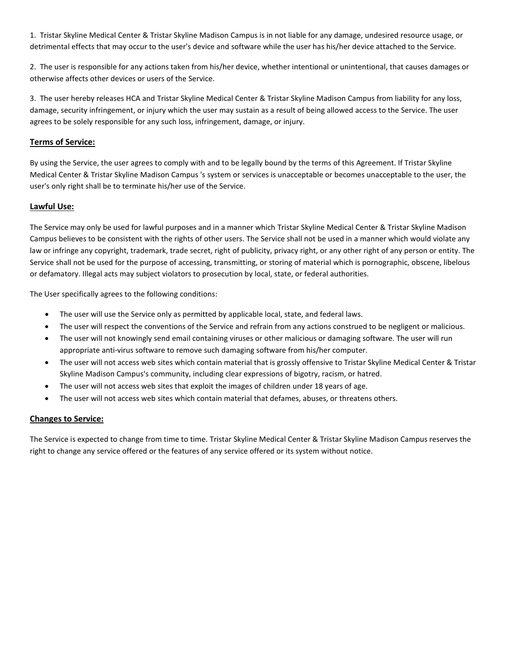1. Tristar Skyline Medical Center & Tristar Skyline Madison Campus is in not liable for any damage, undesired resource usage, or detrimental effects that may occur to the user's device and software while the user has his/her device attached to the Service.

2. The user is responsible for any actions taken from his/her device, whether intentional or unintentional, that causes damages or otherwise affects other devices or users of the Service.

3. The user hereby releases HCA and Tristar Skyline Medical Center & Tristar Skyline Madison Campus from liability for any loss, damage, security infringement, or injury which the user may sustain as a result of being allowed access to the Service. The user agrees to be solely responsible for any such loss, infringement, damage, or injury.

## **Terms of Service:**

By using the Service, the user agrees to comply with and to be legally bound by the terms of this Agreement. If Tristar Skyline Medical Center & Tristar Skyline Madison Campus 's system or services is unacceptable or becomes unacceptable to the user, the user's only right shall be to terminate his/her use of the Service.

## **Lawful Use:**

The Service may only be used for lawful purposes and in a manner which Tristar Skyline Medical Center & Tristar Skyline Madison Campus believes to be consistent with the rights of other users. The Service shall not be used in a manner which would violate any law or infringe any copyright, trademark, trade secret, right of publicity, privacy right, or any other right of any person or entity. The Service shall not be used for the purpose of accessing, transmitting, or storing of material which is pornographic, obscene, libelous or defamatory. Illegal acts may subject violators to prosecution by local, state, or federal authorities.

The User specifically agrees to the following conditions:

- The user will use the Service only as permitted by applicable local, state, and federal laws.
- The user will respect the conventions of the Service and refrain from any actions construed to be negligent or malicious.
- The user will not knowingly send email containing viruses or other malicious or damaging software. The user will run appropriate anti-virus software to remove such damaging software from his/her computer.
- The user will not access web sites which contain material that is grossly offensive to Tristar Skyline Medical Center & Tristar Skyline Madison Campus's community, including clear expressions of bigotry, racism, or hatred.
- The user will not access web sites that exploit the images of children under 18 years of age.
- The user will not access web sites which contain material that defames, abuses, or threatens others.

#### **Changes to Service:**

The Service is expected to change from time to time. Tristar Skyline Medical Center & Tristar Skyline Madison Campus reserves the right to change any service offered or the features of any service offered or its system without notice.